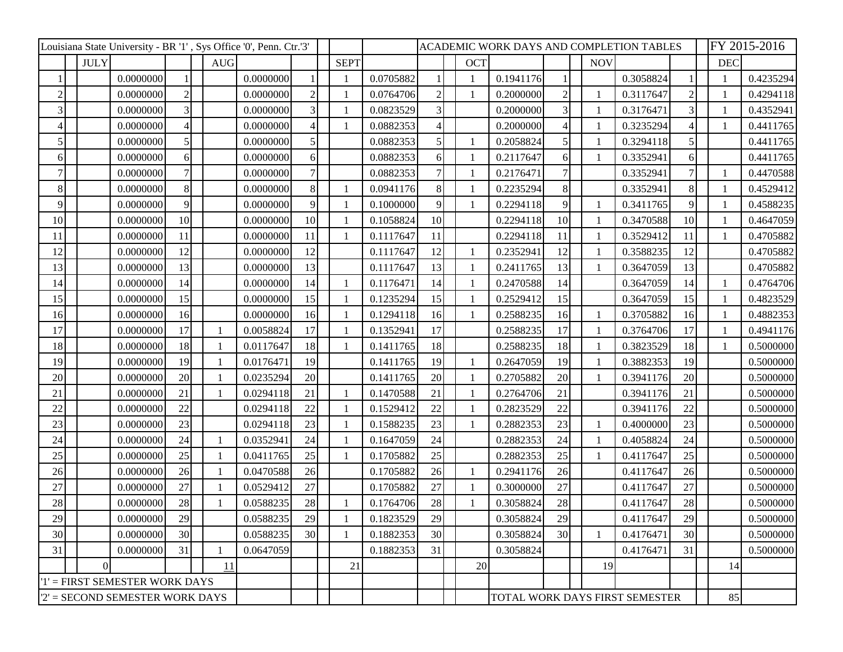| Louisiana State University - BR '1', Sys Office '0', Penn. Ctr.'3' |             |           |                 |  |            |           |    |             |           |                | ACADEMIC WORK DAYS AND COMPLETION TABLES |              |                                |    |  |            |           |    | FY 2015-2016 |           |  |
|--------------------------------------------------------------------|-------------|-----------|-----------------|--|------------|-----------|----|-------------|-----------|----------------|------------------------------------------|--------------|--------------------------------|----|--|------------|-----------|----|--------------|-----------|--|
|                                                                    | <b>JULY</b> |           |                 |  | <b>AUG</b> |           |    | <b>SEPT</b> |           |                |                                          | <b>OCT</b>   |                                |    |  | <b>NOV</b> |           |    | <b>DEC</b>   |           |  |
|                                                                    |             | 0.0000000 |                 |  |            | 0.0000000 |    |             | 0.0705882 |                |                                          | 1            | 0.1941176                      |    |  |            | 0.3058824 |    |              | 0.4235294 |  |
| $\overline{2}$                                                     |             | 0.0000000 | $\overline{2}$  |  |            | 0.0000000 |    |             | 0.0764706 | $\overline{c}$ |                                          | $\mathbf{1}$ | 0.2000000                      |    |  |            | 0.3117647 |    |              | 0.4294118 |  |
| 3                                                                  |             | 0.0000000 | 3               |  |            | 0.0000000 |    |             | 0.0823529 | 3              |                                          |              | 0.2000000                      |    |  |            | 0.3176471 |    |              | 0.4352941 |  |
| $\overline{\mathcal{A}}$                                           |             | 0.0000000 | $\Delta$        |  |            | 0.0000000 |    |             | 0.0882353 | 4              |                                          |              | 0.2000000                      |    |  |            | 0.3235294 |    |              | 0.4411765 |  |
| 5                                                                  |             | 0.0000000 | $\vert 5 \vert$ |  |            | 0.0000000 |    |             | 0.0882353 | 5              |                                          |              | 0.2058824                      |    |  |            | 0.3294118 | 5  |              | 0.4411765 |  |
| 61                                                                 |             | 0.0000000 | $\vert 6 \vert$ |  |            | 0.0000000 | 61 |             | 0.0882353 | 6              |                                          | $\mathbf{1}$ | 0.2117647                      | 6  |  |            | 0.3352941 | 6  |              | 0.4411765 |  |
|                                                                    |             | 0.0000000 |                 |  |            | 0.0000000 |    |             | 0.0882353 | 7              |                                          | $\mathbf{1}$ | 0.2176471                      |    |  |            | 0.3352941 |    |              | 0.4470588 |  |
| 8                                                                  |             | 0.0000000 | 8               |  |            | 0.0000000 | 8  | 1           | 0.0941176 | 8              |                                          | $\mathbf{1}$ | 0.2235294                      | 8  |  |            | 0.3352941 | 8  |              | 0.4529412 |  |
| 9                                                                  |             | 0.0000000 | 9               |  |            | 0.0000000 |    |             | 0.1000000 | 9              |                                          | -1           | 0.2294118                      | 9  |  |            | 0.3411765 | 9  |              | 0.4588235 |  |
| 10                                                                 |             | 0.0000000 | 10              |  |            | 0.0000000 | 10 | 1           | 0.1058824 | 10             |                                          |              | 0.2294118                      | 10 |  |            | 0.3470588 | 10 |              | 0.4647059 |  |
| 11                                                                 |             | 0.0000000 | 11              |  |            | 0.0000000 | 11 | 1           | 0.1117647 | 11             |                                          |              | 0.2294118                      | 11 |  |            | 0.3529412 | 11 |              | 0.4705882 |  |
| 12                                                                 |             | 0.0000000 | 12              |  |            | 0.0000000 | 12 |             | 0.1117647 | 12             |                                          | -1           | 0.2352941                      | 12 |  |            | 0.3588235 | 12 |              | 0.4705882 |  |
| 13                                                                 |             | 0.0000000 | 13              |  |            | 0.0000000 | 13 |             | 0.1117647 | 13             |                                          | $\mathbf{1}$ | 0.2411765                      | 13 |  |            | 0.3647059 | 13 |              | 0.4705882 |  |
| 14                                                                 |             | 0.0000000 | 14              |  |            | 0.0000000 | 14 |             | 0.1176471 | 14             |                                          | $\mathbf{1}$ | 0.2470588                      | 14 |  |            | 0.3647059 | 14 |              | 0.4764706 |  |
| 15                                                                 |             | 0.0000000 | 15              |  |            | 0.0000000 | 15 |             | 0.1235294 | 15             |                                          | $\mathbf{1}$ | 0.2529412                      | 15 |  |            | 0.3647059 | 15 |              | 0.4823529 |  |
| 16                                                                 |             | 0.0000000 | 16              |  |            | 0.0000000 | 16 |             | 0.1294118 | 16             |                                          | -1           | 0.2588235                      | 16 |  |            | 0.3705882 | 16 |              | 0.4882353 |  |
| 17                                                                 |             | 0.0000000 | 17              |  |            | 0.0058824 | 17 |             | 0.1352941 | 17             |                                          |              | 0.2588235                      | 17 |  |            | 0.3764706 | 17 |              | 0.4941176 |  |
| 18                                                                 |             | 0.0000000 | 18              |  |            | 0.0117647 | 18 |             | 0.1411765 | 18             |                                          |              | 0.2588235                      | 18 |  |            | 0.3823529 | 18 |              | 0.5000000 |  |
| 19                                                                 |             | 0.0000000 | 19              |  |            | 0.0176471 | 19 |             | 0.1411765 | 19             |                                          | $\mathbf{1}$ | 0.2647059                      | 19 |  |            | 0.3882353 | 19 |              | 0.5000000 |  |
| 20                                                                 |             | 0.0000000 | 20              |  |            | 0.0235294 | 20 |             | 0.1411765 | 20             |                                          | -1           | 0.2705882                      | 20 |  |            | 0.3941176 | 20 |              | 0.5000000 |  |
| 21                                                                 |             | 0.0000000 | 21              |  |            | 0.0294118 | 21 | 1           | 0.1470588 | 21             |                                          | $\mathbf{1}$ | 0.2764706                      | 21 |  |            | 0.3941176 | 21 |              | 0.5000000 |  |
| 22                                                                 |             | 0.0000000 | 22              |  |            | 0.0294118 | 22 |             | 0.1529412 | 22             |                                          | -1           | 0.2823529                      | 22 |  |            | 0.3941176 | 22 |              | 0.5000000 |  |
| 23                                                                 |             | 0.0000000 | 23              |  |            | 0.0294118 | 23 | 1           | 0.1588235 | 23             |                                          | $\mathbf{1}$ | 0.2882353                      | 23 |  |            | 0.4000000 | 23 |              | 0.5000000 |  |
| 24                                                                 |             | 0.0000000 | 24              |  |            | 0.0352941 | 24 |             | 0.1647059 | 24             |                                          |              | 0.2882353                      | 24 |  |            | 0.4058824 | 24 |              | 0.5000000 |  |
| 25                                                                 |             | 0.0000000 | 25              |  |            | 0.0411765 | 25 | 1           | 0.1705882 | 25             |                                          |              | 0.2882353                      | 25 |  |            | 0.4117647 | 25 |              | 0.5000000 |  |
| 26                                                                 |             | 0.0000000 | 26              |  |            | 0.0470588 | 26 |             | 0.1705882 | 26             |                                          | $\mathbf{1}$ | 0.2941176                      | 26 |  |            | 0.4117647 | 26 |              | 0.5000000 |  |
| 27                                                                 |             | 0.0000000 | 27              |  |            | 0.0529412 | 27 |             | 0.1705882 | 27             |                                          | -1           | 0.3000000                      | 27 |  |            | 0.4117647 | 27 |              | 0.5000000 |  |
| 28                                                                 |             | 0.0000000 | 28              |  |            | 0.0588235 | 28 |             | 0.1764706 | 28             |                                          |              | 0.3058824                      | 28 |  |            | 0.4117647 | 28 |              | 0.5000000 |  |
| 29                                                                 |             | 0.0000000 | 29              |  |            | 0.0588235 | 29 |             | 0.1823529 | 29             |                                          |              | 0.3058824                      | 29 |  |            | 0.4117647 | 29 |              | 0.5000000 |  |
| 30                                                                 |             | 0.0000000 | 30 <sup>l</sup> |  |            | 0.0588235 | 30 |             | 0.1882353 | 30             |                                          |              | 0.3058824                      | 30 |  |            | 0.4176471 | 30 |              | 0.5000000 |  |
| 31                                                                 |             | 0.0000000 | 31              |  |            | 0.0647059 |    |             | 0.1882353 | 31             |                                          |              | 0.3058824                      |    |  |            | 0.4176471 | 31 |              | 0.5000000 |  |
|                                                                    | $\Omega$    |           |                 |  | 11         |           |    | 21          |           |                |                                          | 20           |                                |    |  | 19         |           |    | 14           |           |  |
| '1' = FIRST SEMESTER WORK DAYS                                     |             |           |                 |  |            |           |    |             |           |                |                                          |              |                                |    |  |            |           |    |              |           |  |
| $2'$ = SECOND SEMESTER WORK DAYS                                   |             |           |                 |  |            |           |    |             |           |                |                                          |              | TOTAL WORK DAYS FIRST SEMESTER |    |  |            |           |    | 85           |           |  |